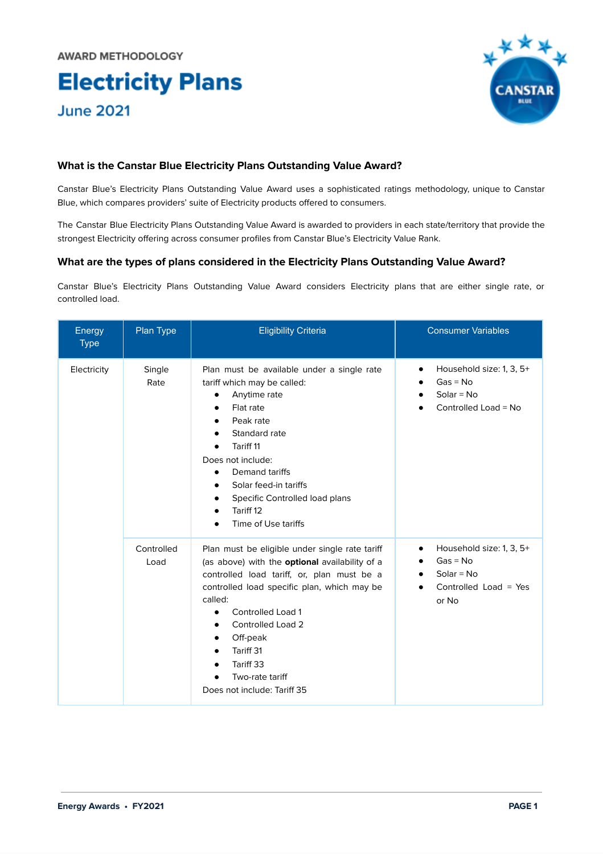# **Electricity Plans June 2021**



# **What is the Canstar Blue Electricity Plans Outstanding Value Award?**

Canstar Blue's Electricity Plans Outstanding Value Award uses a sophisticated ratings methodology, unique to Canstar Blue, which compares providers' suite of Electricity products offered to consumers.

The Canstar Blue Electricity Plans Outstanding Value Award is awarded to providers in each state/territory that provide the strongest Electricity offering across consumer profiles from Canstar Blue's Electricity Value Rank.

# **What are the types of plans considered in the Electricity Plans Outstanding Value Award?**

Canstar Blue's Electricity Plans Outstanding Value Award considers Electricity plans that are either single rate, or controlled load.

| Energy<br><b>Type</b> | Plan Type          | <b>Eligibility Criteria</b>                                                                                                                                                                                                                                                                                                                            | <b>Consumer Variables</b>                                                                                            |
|-----------------------|--------------------|--------------------------------------------------------------------------------------------------------------------------------------------------------------------------------------------------------------------------------------------------------------------------------------------------------------------------------------------------------|----------------------------------------------------------------------------------------------------------------------|
| Electricity           | Single<br>Rate     | Plan must be available under a single rate<br>tariff which may be called:<br>Anytime rate<br>$\bullet$<br>Flat rate<br>Peak rate<br>Standard rate<br>Tariff 11<br>$\bullet$<br>Does not include:<br>Demand tariffs<br>$\bullet$<br>Solar feed-in tariffs<br>$\bullet$<br>Specific Controlled load plans<br>Tariff 12<br>Time of Use tariffs            | Household size: 1, 3, 5+<br>٠<br>$Gas = No$<br>$Solar = No$<br>Controlled Load = No                                  |
|                       | Controlled<br>Load | Plan must be eligible under single rate tariff<br>(as above) with the <b>optional</b> availability of a<br>controlled load tariff, or, plan must be a<br>controlled load specific plan, which may be<br>called:<br>Controlled Load 1<br>Controlled Load 2<br>٠<br>Off-peak<br>Tariff 31<br>Tariff 33<br>Two-rate tariff<br>Does not include: Tariff 35 | Household size: 1, 3, 5+<br>$\bullet$<br>$Gas = No$<br>$Solar = No$<br>$\bullet$<br>Controlled Load = $Yes$<br>or No |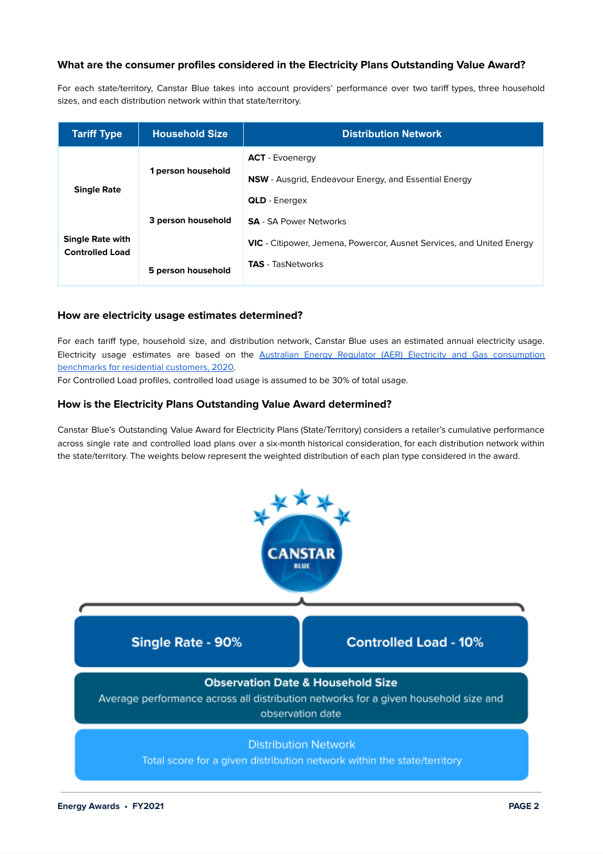# **What are the consumer profiles considered in the Electricity Plans Outstanding Value Award?**

For each state/territory, Canstar Blue takes into account providers' performance over two tariff types, three household sizes, and each distribution network within that state/territory.

| <b>Tariff Type</b>                                | <b>Household Size</b> | <b>Distribution Network</b>                                                  |
|---------------------------------------------------|-----------------------|------------------------------------------------------------------------------|
|                                                   |                       | <b>ACT</b> - Evoenergy                                                       |
|                                                   | 1 person household    | <b>NSW</b> - Ausgrid, Endeavour Energy, and Essential Energy                 |
| <b>Single Rate</b>                                |                       | <b>QLD</b> - Energex                                                         |
|                                                   | 3 person household    | <b>SA</b> - SA Power Networks                                                |
| <b>Single Rate with</b><br><b>Controlled Load</b> |                       | <b>VIC</b> - Citipower, Jemena, Powercor, Ausnet Services, and United Energy |
|                                                   | 5 person household    | <b>TAS</b> - TasNetworks                                                     |

### **How are electricity usage estimates determined?**

For each tariff type, household size, and distribution network, Canstar Blue uses an estimated annual electricity usage. Electricity usage estimates are based on the Australian Energy Regulator (AER) Electricity and Gas [consumption](https://www.aer.gov.au/retail-markets/guidelines-reviews/electricity-and-gas-consumption-benchmarks-for-residential-customers-2020) [benchmarks](https://www.aer.gov.au/retail-markets/guidelines-reviews/electricity-and-gas-consumption-benchmarks-for-residential-customers-2020) for residential customers, 2020.

For Controlled Load profiles, controlled load usage is assumed to be 30% of total usage.

### **How is the Electricity Plans Outstanding Value Award determined?**

Canstar Blue's Outstanding Value Award for Electricity Plans (State/Territory) considers a retailer's cumulative performance across single rate and controlled load plans over a six-month historical consideration, for each distribution network within the state/territory. The weights below represent the weighted distribution of each plan type considered in the award.